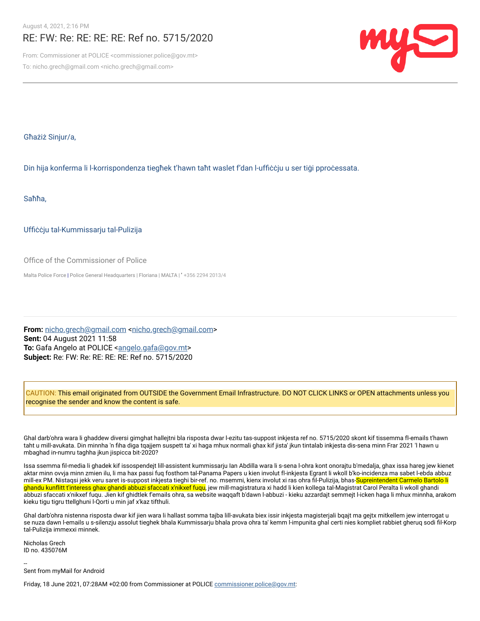## RE: FW: Re: RE: RE: RE: Ref no. 5715/2020

From: Commissioner at POLICE <commissioner.police@gov.mt> To: nicho.grech@gmail.com <nicho.grech@gmail.com>



Għażiż Sinjur/a,

Din hija konferma li l-korrispondenza tiegħek t'hawn taħt waslet f'dan l-uffiċċju u ser tiġi pproċessata.

Saħħa,

Uffiċċju tal-Kummissarju tal-Pulizija

Office of the Commissioner of Police

Malta Police Force | Police General Headquarters | Floriana | MALTA | ' +356 2294 2013/4

From: [nicho.grech@gmail.com](mailto:nicho.grech@gmail.com) <nicho.grech@gmail.com> **Sent:** 04 August 2021 11:58 **To:** Gafa Angelo at POLICE <[angelo.gafa@gov.mt](mailto:angelo.gafa@gov.mt)> **Subject:** Re: FW: Re: RE: RE: RE: Ref no. 5715/2020

CAUTION: This email originated from OUTSIDE the Government Email Infrastructure. DO NOT CLICK LINKS or OPEN attachments unless you recognise the sender and know the content is safe.

Ghal darb'ohra wara li ghaddew diversi gimghat hallejtni bla risposta dwar l-ezitu tas-suppost inkjesta ref no. 5715/2020 skont kif tissemma fl-emails t'hawn taht u mill-avukata. Din minnha 'n fiha diga tqajjem suspett ta' xi haga mhux normali ghax kif jista' jkun tintalab inkjesta dis-sena minn Frar 2021 'l hawn u mbaghad in-numru taghha jkun jispicca bit-2020?

Issa ssemma fil-media li ghadek kif issospendejt lill-assistent kummissarju Ian Abdilla wara li s-sena l-ohra kont onorajtu b'medalja, ghax issa hareg jew kienet aktar minn ovvja minn zmien ilu, li ma hax passi fuq fosthom tal-Panama Papers u kien involut fl-inkjesta Egrant li wkoll b'ko-incidenza ma sabet l-ebda abbuz mill-ex PM. Nistaqsi jekk veru saret is-suppost inkjesta tieghi bir-ref. no. msemmi, kienx involut xi ras ohra fil-Pulizija, bhas-<mark>Supreintendent Carmelo Bartolo li</mark> <mark>ghandu kunflitt t'interess ghax ghandi abbuzi sfaccati x'nikxef fuqu</mark>, jew mill-magistratura xi hadd li kien kollega tal-Magistrat Carol Peralta li wkoll ghandi abbuzi sfaccati x'nikxef fuqu. Jien kif ghidtlek f'emails ohra, sa website waqqaft b'dawn l-abbuzi - kieku azzardajt semmejt l-icken haga li mhux minnha, arakom kieku tigu tigru ttellghuni l-Qorti u min jaf x'kaz tifthuli.

Ghal darb'ohra nistenna risposta dwar kif jien wara li hallast somma tajba lill-avukata biex issir inkjesta magisterjali bqajt ma gejtx mitkellem jew interrogat u se nuza dawn l-emails u s-silenzju assolut tieghek bhala Kummissarju bhala prova ohra ta' kemm l-impunita ghal certi nies kompliet rabbiet gheruq sodi fil-Korp tal-Pulizija immexxi minnek.

Nicholas Grech ID no. 435076M

-- Sent from myMail for Android

Friday, 18 June 2021, 07:28AM +02:00 from Commissioner at POLICE [commissioner.police@gov.mt](mailto:commissioner.police@gov.mt):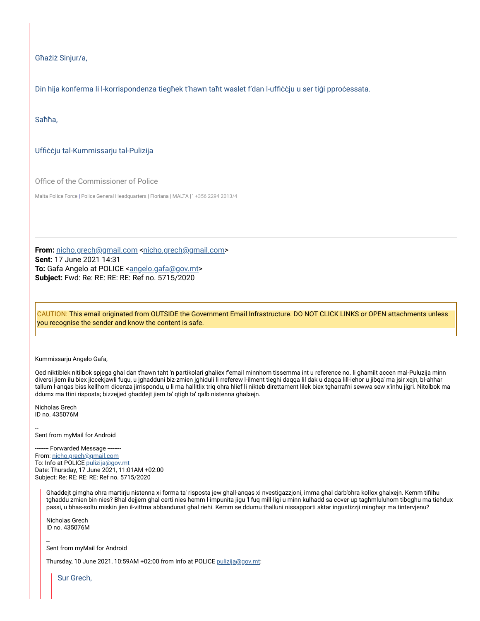Għażiż Sinjur/a,

Din hija konferma li l-korrispondenza tiegħek t'hawn taħt waslet f'dan l-uffiċċju u ser tiġi pproċessata.

Saħħa,

## Uffiċċju tal-Kummissarju tal-Pulizija

Office of the Commissioner of Police

Malta Police Force | Police General Headquarters | Floriana | MALTA | ' +356 2294 2013/4

From: [nicho.grech@gmail.com](mailto:nicho.grech@gmail.com) <[nicho.grech@gmail.com>](mailto:nicho.grech@gmail.com) **Sent:** 17 June 2021 14:31 **To:** Gafa Angelo at POLICE [<angelo.gafa@gov.mt](mailto:angelo.gafa@gov.mt)> **Subject:** Fwd: Re: RE: RE: RE: Ref no. 5715/2020

CAUTION: This email originated from OUTSIDE the Government Email Infrastructure. DO NOT CLICK LINKS or OPEN attachments unless you recognise the sender and know the content is safe.

## Kummissarju Angelo Gafa,

Qed niktiblek nitilbok spjega ghal dan t'hawn taht 'n partikolari ghaliex f'email minnhom tissemma int u reference no. li ghamilt accen mal-Puluzija minn diversi jiem ilu biex jiccekjawli fuqu, u jghadduni biz-zmien jghiduli li rreferew l-ilment tieghi daqqa lil dak u daqqa lill-iehor u jibqa' ma jsir xejn, bl-ahhar tallum l-anqas biss kellhom dicenza jirrispondu, u li ma hallitlix triq ohra hlief li nikteb direttament lilek biex tgharrafni sewwa sew x'inhu jigri. Nitolbok ma ddumx ma ttini risposta; bizzejjed ghaddejt jiem ta' qtigh ta' qalb nistenna ghalxejn.

Nicholas Grech ID no. 435076M

-- Sent from myMail for Android

-- Forwarded Message --From: [nicho.grech@gmail.com](mailto:nicho.grech@gmail.com) To: Info at POLICE [pulizija@gov.mt](mailto:pulizija@gov.mt) Date: Thursday, 17 June 2021, 11:01AM +02:00 Subject: Re: RE: RE: RE: Ref no. 5715/2020

Ghaddejt gimgha ohra martirju nistenna xi forma ta' risposta jew ghall-anqas xi nvestigazzjoni, imma ghal darb'ohra kollox ghalxejn. Kemm tifilhu tghaddu zmien bin-nies? Bhal dejjem ghal certi nies hemm l-impunita jigu 'l fuq mill-ligi u minn kulhadd sa cover-up taghmluluhom tibqghu ma tiehdux passi, u bhas-soltu miskin jien il-vittma abbandunat ghal riehi. Kemm se ddumu thalluni nissapporti aktar ingustizzji minghajr ma tintervjenu?

Nicholas Grech ID no. 435076M

-- Sent from myMail for Android

Thursday, 10 June 2021, 10:59AM +02:00 from Info at POLICE [pulizija@gov.mt:](mailto:pulizija@gov.mt)

Sur Grech,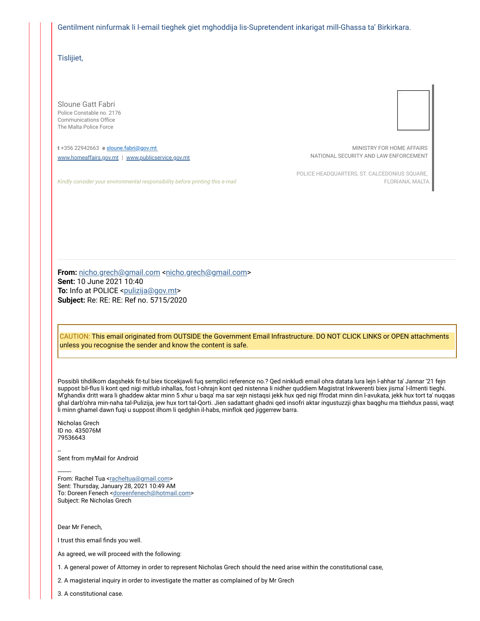Gentilment ninfurmak li l-email tieghek giet mghoddija lis-Supretendent inkarigat mill-Ghassa ta' Birkirkara.

Tislijiet,

Sloune Gatt Fabri Police Constable no. 2176 Communications Office The Malta Police Force

**t** +356 22942663 **e** [sloune.fabri@gov.mt](mailto:sloune.fabri@gov.mt) [www.homeaffairs.gov.mt](https://eur01.safelinks.protection.outlook.com/?url=http%3A%2F%2Fwww.homeaffairs.gov.mt%2F&data=04%7C01%7Cangelo.gafa%40gov.mt%7C599913421b3240c1b61308d9572e6489%7C34cdd9f55db849bcacba01f65cca680d%7C0%7C0%7C637636679040692808%7CUnknown%7CTWFpbGZsb3d8eyJWIjoiMC4wLjAwMDAiLCJQIjoiV2luMzIiLCJBTiI6Ik1haWwiLCJXVCI6Mn0%3D%7C1000&sdata=rGu4sBhmSF71lQtrvApBvz%2Bz%2BDA%2FQc6oYOrH0janrKs%3D&reserved=0) | [www.publicservice.gov.mt](https://eur01.safelinks.protection.outlook.com/?url=http%3A%2F%2Fwww.publicservice.gov.mt%2F&data=04%7C01%7Cangelo.gafa%40gov.mt%7C599913421b3240c1b61308d9572e6489%7C34cdd9f55db849bcacba01f65cca680d%7C0%7C0%7C637636679040702764%7CUnknown%7CTWFpbGZsb3d8eyJWIjoiMC4wLjAwMDAiLCJQIjoiV2luMzIiLCJBTiI6Ik1haWwiLCJXVCI6Mn0%3D%7C1000&sdata=n7QOWNodHA9A%2B0WOGdMF42bGsKHdCuaf6naUdXtyjV8%3D&reserved=0)

*Kindly consider your environmental responsibility before printing this e-mail*

MINISTRY FOR HOME AFFAIRS NATIONAL SECURITY AND LAW ENFORCEMENT

POLICE HEADQUARTERS, ST. CALCEDONIUS SQUARE, FLORIANA, MALTA

From: [nicho.grech@gmail.com](mailto:nicho.grech@gmail.com) <nicho.grech@gmail.com> **Sent:** 10 June 2021 10:40 **To:** Info at POLICE [<pulizija@gov.mt>](mailto:pulizija@gov.mt) **Subject:** Re: RE: RE: Ref no. 5715/2020

CAUTION: This email originated from OUTSIDE the Government Email Infrastructure. DO NOT CLICK LINKS or OPEN attachments unless you recognise the sender and know the content is safe.

Possibli tihdilkom daqshekk fit-tul biex ticcekjawli fuq semplici reference no.? Qed ninkludi email ohra datata lura lejn l-ahhar ta' Jannar '21 fejn suppost bil-flus li kont qed nigi mitlub inhallas, fost l-ohrajn kont qed nistenna li nidher quddiem Magistrat Inkwerenti biex jisma' l-ilmenti tieghi. M'ghandix dritt wara li ghaddew aktar minn 5 xhur u baqa' ma sar xejn nistaqsi jekk hux qed nigi ffrodat minn din l-avukata, jekk hux tort ta' nuqqas ghal darb'ohra min-naha tal-Pulizija, jew hux tort tal-Qorti. Jien sadattant ghadni qed insofri aktar ingustuzzji ghax baqghu ma ttiehdux passi, waqt li minn ghamel dawn fuqi u suppost ilhom li qedghin il-habs, minflok qed jiggerrew barra.

Nicholas Grech ID no. 435076M 79536643

-- Sent from myMail for Android

-------- From: Rachel Tua [<racheltua@gmail.com](mailto:racheltua@gmail.com)> Sent: Thursday, January 28, 2021 10:49 AM To: Doreen Fenech [<doreenfenech@hotmail.com](mailto:doreenfenech@hotmail.com)> Subject: Re Nicholas Grech

Dear Mr Fenech,

I trust this email finds you well.

As agreed, we will proceed with the following:

1. A general power of Attorney in order to represent Nicholas Grech should the need arise within the constitutional case,

2. A magisterial inquiry in order to investigate the matter as complained of by Mr Grech

3. A constitutional case.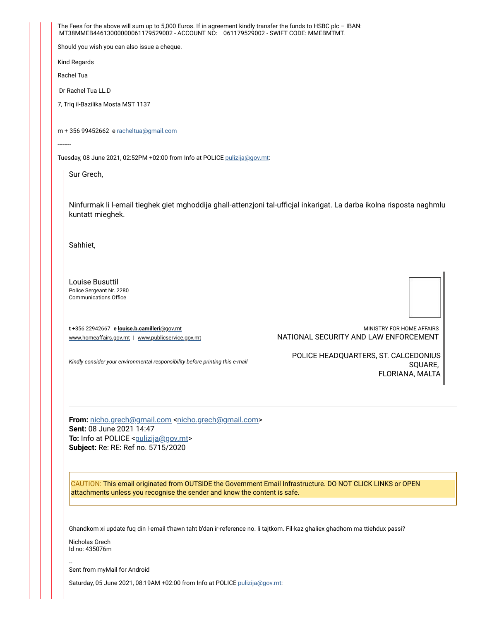The Fees for the above will sum up to 5,000 Euros. If in agreement kindly transfer the funds to HSBC plc - IBAN: MT38MMEB44613000000061179529002 - ACCOUNT NO: 061179529002 - SWIFT CODE: MMEBMTMT. Should you wish you can also issue a cheque. Kind Regards Rachel Tua Dr Rachel Tua LL.D 7, Triq il-Bazilika Mosta MST 1137 m + 356 99452662 e [racheltua@gmail.com](mailto:racheltua@gmail.com) ------- Tuesday, 08 June 2021, 02:52PM +02:00 from Info at POLICE [pulizija@gov.mt:](mailto:pulizija@gov.mt) Sur Grech, Ninfurmak li l-email tieghek giet mghoddija ghall-attenzjoni tal-ufficjal inkarigat. La darba ikolna risposta naghmlu kuntatt mieghek. Sahhiet, Louise Busuttil Police Sergeant Nr. 2280 Communications Office **t** +356 22942667 **e [louise.b.camilleri](mailto:louise.b.camilleri@gov.mt)**@gov.mt [www.homeaffairs.gov.mt](https://eur01.safelinks.protection.outlook.com/?url=http%3A%2F%2Fwww.homeaffairs.gov.mt%2F&data=04%7C01%7Cangelo.gafa%40gov.mt%7C599913421b3240c1b61308d9572e6489%7C34cdd9f55db849bcacba01f65cca680d%7C0%7C0%7C637636679040702764%7CUnknown%7CTWFpbGZsb3d8eyJWIjoiMC4wLjAwMDAiLCJQIjoiV2luMzIiLCJBTiI6Ik1haWwiLCJXVCI6Mn0%3D%7C1000&sdata=hcdApzi64V1O%2FPzM74iBqXRF%2BB598FulkX9pwScvb0U%3D&reserved=0) | [www.publicservice.gov.mt](https://eur01.safelinks.protection.outlook.com/?url=http%3A%2F%2Fwww.publicservice.gov.mt%2F&data=04%7C01%7Cangelo.gafa%40gov.mt%7C599913421b3240c1b61308d9572e6489%7C34cdd9f55db849bcacba01f65cca680d%7C0%7C0%7C637636679040712720%7CUnknown%7CTWFpbGZsb3d8eyJWIjoiMC4wLjAwMDAiLCJQIjoiV2luMzIiLCJBTiI6Ik1haWwiLCJXVCI6Mn0%3D%7C1000&sdata=C914UyxnqDhwU4VWBsONeMURz3FyswREH6kXpFPqRPY%3D&reserved=0) *Kindly consider your environmental responsibility before printing this e-mail* MINISTRY FOR HOME AFFAIRS NATIONAL SECURITY AND LAW ENFORCEMENT POLICE HEADQUARTERS, ST. CALCEDONIUS SQUARE, FLORIANA, MALTA **From:** [nicho.grech@gmail.com](mailto:nicho.grech@gmail.com) [<nicho.grech@gmail.com>](mailto:nicho.grech@gmail.com) **Sent:** 08 June 2021 14:47 **To:** Info at POLICE <[pulizija@gov.mt](mailto:pulizija@gov.mt)> **Subject:** Re: RE: Ref no. 5715/2020 CAUTION: This email originated from OUTSIDE the Government Email Infrastructure. DO NOT CLICK LINKS or OPEN attachments unless you recognise the sender and know the content is safe. Ghandkom xi update fuq din l-email t'hawn taht b'dan ir-reference no. li tajtkom. Fil-kaz ghaliex ghadhom ma ttiehdux passi? Nicholas Grech Id no: 435076m -- Sent from myMail for Android

Saturday, 05 June 2021, 08:19AM +02:00 from Info at POLICE [pulizija@gov.mt](mailto:pulizija@gov.mt):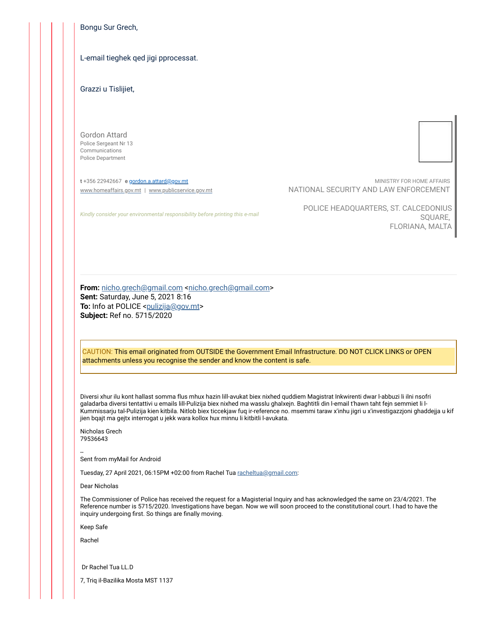Bongu Sur Grech,

## L-email tieghek qed jigi pprocessat.

Grazzi u Tislijiet,

Gordon Attard Police Sergeant Nr 13 Communications Police Department

**t** +356 22942667 **e** [gordon.a.attard@gov.mt](mailto:gordon.a.attard@gov.mt) [www.homeaffairs.gov.mt](https://eur01.safelinks.protection.outlook.com/?url=http%3A%2F%2Fwww.homeaffairs.gov.mt%2F&data=04%7C01%7Cangelo.gafa%40gov.mt%7C599913421b3240c1b61308d9572e6489%7C34cdd9f55db849bcacba01f65cca680d%7C0%7C0%7C637636679040712720%7CUnknown%7CTWFpbGZsb3d8eyJWIjoiMC4wLjAwMDAiLCJQIjoiV2luMzIiLCJBTiI6Ik1haWwiLCJXVCI6Mn0%3D%7C1000&sdata=Ooo437lNGUVw6buVk9De0TdlZe3JTcr82ouNePw15ME%3D&reserved=0) | [www.publicservice.gov.mt](https://eur01.safelinks.protection.outlook.com/?url=http%3A%2F%2Fwww.publicservice.gov.mt%2F&data=04%7C01%7Cangelo.gafa%40gov.mt%7C599913421b3240c1b61308d9572e6489%7C34cdd9f55db849bcacba01f65cca680d%7C0%7C0%7C637636679040722676%7CUnknown%7CTWFpbGZsb3d8eyJWIjoiMC4wLjAwMDAiLCJQIjoiV2luMzIiLCJBTiI6Ik1haWwiLCJXVCI6Mn0%3D%7C1000&sdata=PEmbU4KTFF6HcFhyCmmHHZ6FKOK4U6Ht61i5znMOVeI%3D&reserved=0)

MINISTRY FOR HOME AFFAIRS NATIONAL SECURITY AND LAW ENFORCEMENT

POLICE HEADQUARTERS, ST. CALCEDONIUS SQUARE, FLORIANA, MALTA

From: [nicho.grech@gmail.com](mailto:nicho.grech@gmail.com) <nicho.grech@gmail.com> **Sent:** Saturday, June 5, 2021 8:16 **To:** Info at POLICE [<pulizija@gov.mt](mailto:pulizija@gov.mt)>

*Kindly consider your environmental responsibility before printing this e-mail*

**Subject:** Ref no. 5715/2020

CAUTION: This email originated from OUTSIDE the Government Email Infrastructure. DO NOT CLICK LINKS or OPEN attachments unless you recognise the sender and know the content is safe.

Diversi xhur ilu kont hallast somma flus mhux hazin lill-avukat biex nixhed quddiem Magistrat Inkwirenti dwar l-abbuzi li ilni nsofri galadarba diversi tentattivi u emails lill-Pulizija biex nixhed ma wasslu ghalxejn. Baghtitli din l-email t'hawn taht fejn semmiet li l-Kummissarju tal-Pulizija kien kitbila. Nitlob biex ticcekjaw fuq ir-reference no. msemmi taraw x'inhu jigri u x'investigazzjoni ghaddejja u kif jien bqajt ma gejtx interrogat u jekk wara kollox hux minnu li kitbitli l-avukata.

Nicholas Grech 79536643

-- Sent from myMail for Android

Tuesday, 27 April 2021, 06:15PM +02:00 from Rachel Tua [racheltua@gmail.com:](mailto:racheltua@gmail.com)

Dear Nicholas

The Commissioner of Police has received the request for a Magisterial Inquiry and has acknowledged the same on 23/4/2021. The Reference number is 5715/2020. Investigations have began. Now we will soon proceed to the constitutional court. I had to have the inquiry undergoing first. So things are finally moving.

Keep Safe

Rachel

Dr Rachel Tua LL.D

7, Triq il-Bazilika Mosta MST 1137